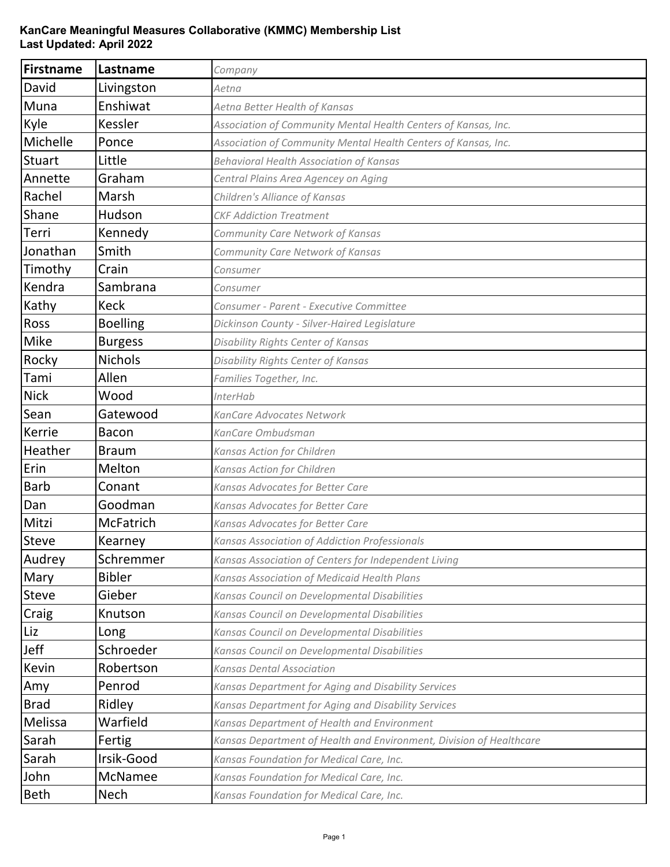## **KanCare Meaningful Measures Collaborative (KMMC) Membership List Last Updated: April 2022**

| Firstname     | Lastname         | Company                                                             |
|---------------|------------------|---------------------------------------------------------------------|
| David         | Livingston       | Aetna                                                               |
| Muna          | Enshiwat         | Aetna Better Health of Kansas                                       |
| Kyle          | Kessler          | Association of Community Mental Health Centers of Kansas, Inc.      |
| Michelle      | Ponce            | Association of Community Mental Health Centers of Kansas, Inc.      |
| <b>Stuart</b> | Little           | <b>Behavioral Health Association of Kansas</b>                      |
| Annette       | Graham           | Central Plains Area Agencey on Aging                                |
| Rachel        | Marsh            | Children's Alliance of Kansas                                       |
| Shane         | Hudson           | <b>CKF Addiction Treatment</b>                                      |
| Terri         | Kennedy          | Community Care Network of Kansas                                    |
| Jonathan      | Smith            | Community Care Network of Kansas                                    |
| Timothy       | Crain            | Consumer                                                            |
| Kendra        | Sambrana         | Consumer                                                            |
| Kathy         | <b>Keck</b>      | Consumer - Parent - Executive Committee                             |
| Ross          | <b>Boelling</b>  | Dickinson County - Silver-Haired Legislature                        |
| <b>Mike</b>   | <b>Burgess</b>   | Disability Rights Center of Kansas                                  |
| Rocky         | <b>Nichols</b>   | Disability Rights Center of Kansas                                  |
| Tami          | Allen            | Families Together, Inc.                                             |
| <b>Nick</b>   | Wood             | <b>InterHab</b>                                                     |
| Sean          | Gatewood         | KanCare Advocates Network                                           |
| Kerrie        | Bacon            | KanCare Ombudsman                                                   |
| Heather       | <b>Braum</b>     | Kansas Action for Children                                          |
| Erin          | Melton           | Kansas Action for Children                                          |
| <b>Barb</b>   | Conant           | Kansas Advocates for Better Care                                    |
| Dan           | Goodman          | Kansas Advocates for Better Care                                    |
| Mitzi         | <b>McFatrich</b> | Kansas Advocates for Better Care                                    |
| <b>Steve</b>  | Kearney          | Kansas Association of Addiction Professionals                       |
| Audrey        | Schremmer        | Kansas Association of Centers for Independent Living                |
| Mary          | <b>Bibler</b>    | Kansas Association of Medicaid Health Plans                         |
| <b>Steve</b>  | Gieber           | Kansas Council on Developmental Disabilities                        |
| Craig         | Knutson          | Kansas Council on Developmental Disabilities                        |
| Liz           | Long             | Kansas Council on Developmental Disabilities                        |
| Jeff          | Schroeder        | Kansas Council on Developmental Disabilities                        |
| Kevin         | Robertson        | <b>Kansas Dental Association</b>                                    |
| Amy           | Penrod           | Kansas Department for Aging and Disability Services                 |
| <b>Brad</b>   | Ridley           | Kansas Department for Aging and Disability Services                 |
| Melissa       | Warfield         | Kansas Department of Health and Environment                         |
| Sarah         | Fertig           | Kansas Department of Health and Environment, Division of Healthcare |
| Sarah         | Irsik-Good       | Kansas Foundation for Medical Care, Inc.                            |
| John          | McNamee          | Kansas Foundation for Medical Care, Inc.                            |
| <b>Beth</b>   | Nech             | Kansas Foundation for Medical Care, Inc.                            |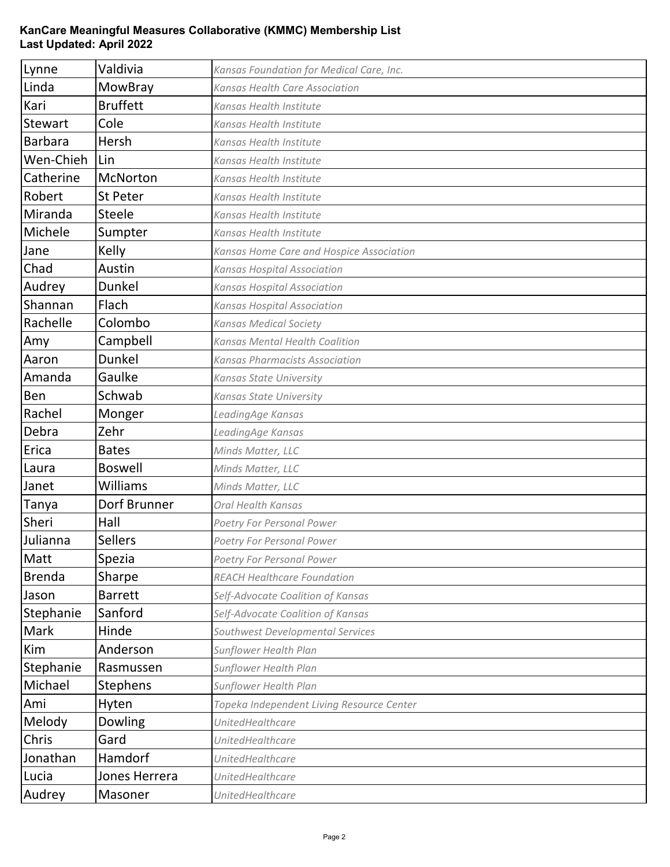## **KanCare Meaningful Measures Collaborative (KMMC) Membership List Last Updated: April 2022**

| Lynne          | Valdivia        | Kansas Foundation for Medical Care, Inc.  |
|----------------|-----------------|-------------------------------------------|
| Linda          | MowBray         | Kansas Health Care Association            |
| Kari           | <b>Bruffett</b> | Kansas Health Institute                   |
| <b>Stewart</b> | Cole            | Kansas Health Institute                   |
| <b>Barbara</b> | Hersh           | Kansas Health Institute                   |
| Wen-Chieh      | Lin             | Kansas Health Institute                   |
| Catherine      | McNorton        | Kansas Health Institute                   |
| Robert         | <b>St Peter</b> | Kansas Health Institute                   |
| Miranda        | <b>Steele</b>   | Kansas Health Institute                   |
| Michele        | Sumpter         | Kansas Health Institute                   |
| Jane           | Kelly           | Kansas Home Care and Hospice Association  |
| Chad           | Austin          | <b>Kansas Hospital Association</b>        |
| Audrey         | <b>Dunkel</b>   | <b>Kansas Hospital Association</b>        |
| Shannan        | Flach           | <b>Kansas Hospital Association</b>        |
| Rachelle       | Colombo         | <b>Kansas Medical Society</b>             |
| Amy            | Campbell        | <b>Kansas Mental Health Coalition</b>     |
| Aaron          | <b>Dunkel</b>   | Kansas Pharmacists Association            |
| Amanda         | Gaulke          | Kansas State University                   |
| Ben            | Schwab          | Kansas State University                   |
| Rachel         | Monger          | LeadingAge Kansas                         |
| Debra          | Zehr            | LeadingAge Kansas                         |
| Erica          | <b>Bates</b>    | Minds Matter, LLC                         |
| Laura          | <b>Boswell</b>  | Minds Matter, LLC                         |
| Janet          | <b>Williams</b> | Minds Matter, LLC                         |
| Tanya          | Dorf Brunner    | Oral Health Kansas                        |
| Sheri          | Hall            | Poetry For Personal Power                 |
| Julianna       | <b>Sellers</b>  | Poetry For Personal Power                 |
| Matt           | Spezia          | Poetry For Personal Power                 |
| <b>Brenda</b>  | Sharpe          | <b>REACH Healthcare Foundation</b>        |
| Jason          | <b>Barrett</b>  | Self-Advocate Coalition of Kansas         |
| Stephanie      | Sanford         | Self-Advocate Coalition of Kansas         |
| <b>Mark</b>    | Hinde           | Southwest Developmental Services          |
| Kim            | Anderson        | Sunflower Health Plan                     |
| Stephanie      | Rasmussen       | Sunflower Health Plan                     |
| Michael        | <b>Stephens</b> | Sunflower Health Plan                     |
| Ami            | Hyten           | Topeka Independent Living Resource Center |
| Melody         | Dowling         | <b>UnitedHealthcare</b>                   |
| Chris          | Gard            | <b>UnitedHealthcare</b>                   |
| Jonathan       | Hamdorf         | <b>UnitedHealthcare</b>                   |
| Lucia          | Jones Herrera   | <b>UnitedHealthcare</b>                   |
| Audrey         | Masoner         | UnitedHealthcare                          |